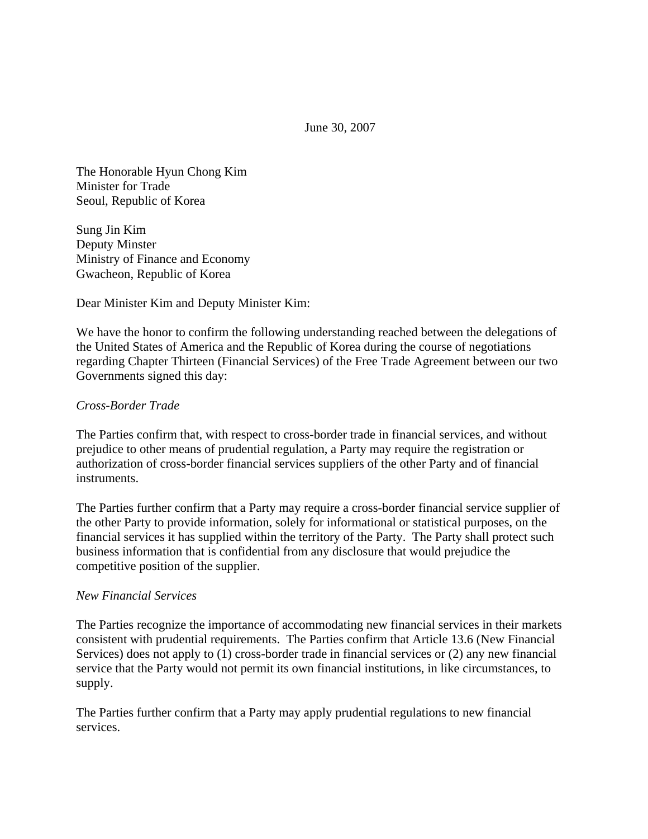June 30, 2007

The Honorable Hyun Chong Kim Minister for Trade Seoul, Republic of Korea

Sung Jin Kim Deputy Minster Ministry of Finance and Economy Gwacheon, Republic of Korea

Dear Minister Kim and Deputy Minister Kim:

We have the honor to confirm the following understanding reached between the delegations of the United States of America and the Republic of Korea during the course of negotiations regarding Chapter Thirteen (Financial Services) of the Free Trade Agreement between our two Governments signed this day:

# *Cross-Border Trade*

The Parties confirm that, with respect to cross-border trade in financial services, and without prejudice to other means of prudential regulation, a Party may require the registration or authorization of cross-border financial services suppliers of the other Party and of financial instruments.

The Parties further confirm that a Party may require a cross-border financial service supplier of the other Party to provide information, solely for informational or statistical purposes, on the financial services it has supplied within the territory of the Party. The Party shall protect such business information that is confidential from any disclosure that would prejudice the competitive position of the supplier.

## *New Financial Services*

The Parties recognize the importance of accommodating new financial services in their markets consistent with prudential requirements. The Parties confirm that Article 13.6 (New Financial Services) does not apply to (1) cross-border trade in financial services or (2) any new financial service that the Party would not permit its own financial institutions, in like circumstances, to supply.

The Parties further confirm that a Party may apply prudential regulations to new financial services.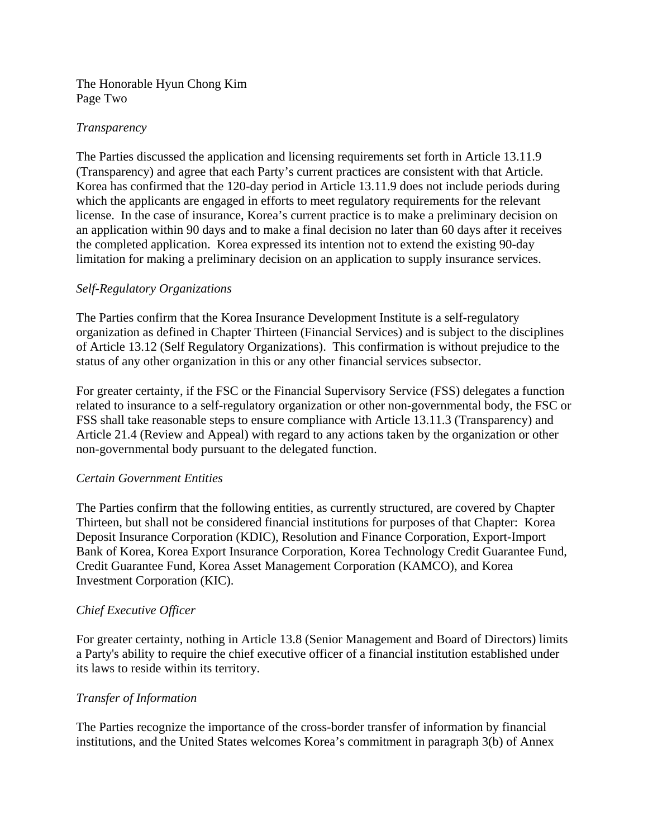The Honorable Hyun Chong Kim Page Two

## *Transparency*

The Parties discussed the application and licensing requirements set forth in Article 13.11.9 (Transparency) and agree that each Party's current practices are consistent with that Article. Korea has confirmed that the 120-day period in Article 13.11.9 does not include periods during which the applicants are engaged in efforts to meet regulatory requirements for the relevant license. In the case of insurance, Korea's current practice is to make a preliminary decision on an application within 90 days and to make a final decision no later than 60 days after it receives the completed application. Korea expressed its intention not to extend the existing 90-day limitation for making a preliminary decision on an application to supply insurance services.

# *Self-Regulatory Organizations*

The Parties confirm that the Korea Insurance Development Institute is a self-regulatory organization as defined in Chapter Thirteen (Financial Services) and is subject to the disciplines of Article 13.12 (Self Regulatory Organizations). This confirmation is without prejudice to the status of any other organization in this or any other financial services subsector.

For greater certainty, if the FSC or the Financial Supervisory Service (FSS) delegates a function related to insurance to a self-regulatory organization or other non-governmental body, the FSC or FSS shall take reasonable steps to ensure compliance with Article 13.11.3 (Transparency) and Article 21.4 (Review and Appeal) with regard to any actions taken by the organization or other non-governmental body pursuant to the delegated function.

## *Certain Government Entities*

The Parties confirm that the following entities, as currently structured, are covered by Chapter Thirteen, but shall not be considered financial institutions for purposes of that Chapter: Korea Deposit Insurance Corporation (KDIC), Resolution and Finance Corporation, Export-Import Bank of Korea, Korea Export Insurance Corporation, Korea Technology Credit Guarantee Fund, Credit Guarantee Fund, Korea Asset Management Corporation (KAMCO), and Korea Investment Corporation (KIC).

## *Chief Executive Officer*

For greater certainty, nothing in Article 13.8 (Senior Management and Board of Directors) limits a Party's ability to require the chief executive officer of a financial institution established under its laws to reside within its territory.

## *Transfer of Information*

The Parties recognize the importance of the cross-border transfer of information by financial institutions, and the United States welcomes Korea's commitment in paragraph 3(b) of Annex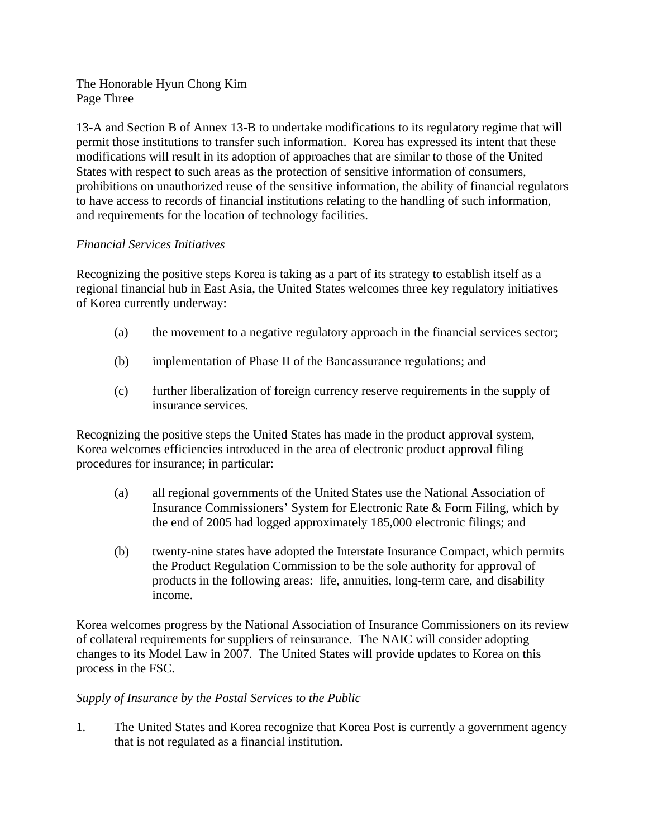The Honorable Hyun Chong Kim Page Three

13-A and Section B of Annex 13-B to undertake modifications to its regulatory regime that will permit those institutions to transfer such information. Korea has expressed its intent that these modifications will result in its adoption of approaches that are similar to those of the United States with respect to such areas as the protection of sensitive information of consumers, prohibitions on unauthorized reuse of the sensitive information, the ability of financial regulators to have access to records of financial institutions relating to the handling of such information, and requirements for the location of technology facilities.

# *Financial Services Initiatives*

Recognizing the positive steps Korea is taking as a part of its strategy to establish itself as a regional financial hub in East Asia, the United States welcomes three key regulatory initiatives of Korea currently underway:

- (a) the movement to a negative regulatory approach in the financial services sector;
- (b) implementation of Phase II of the Bancassurance regulations; and
- (c) further liberalization of foreign currency reserve requirements in the supply of insurance services.

Recognizing the positive steps the United States has made in the product approval system, Korea welcomes efficiencies introduced in the area of electronic product approval filing procedures for insurance; in particular:

- (a) all regional governments of the United States use the National Association of Insurance Commissioners' System for Electronic Rate & Form Filing, which by the end of 2005 had logged approximately 185,000 electronic filings; and
- (b) twenty-nine states have adopted the Interstate Insurance Compact, which permits the Product Regulation Commission to be the sole authority for approval of products in the following areas: life, annuities, long-term care, and disability income.

Korea welcomes progress by the National Association of Insurance Commissioners on its review of collateral requirements for suppliers of reinsurance. The NAIC will consider adopting changes to its Model Law in 2007. The United States will provide updates to Korea on this process in the FSC.

# *Supply of Insurance by the Postal Services to the Public*

1. The United States and Korea recognize that Korea Post is currently a government agency that is not regulated as a financial institution.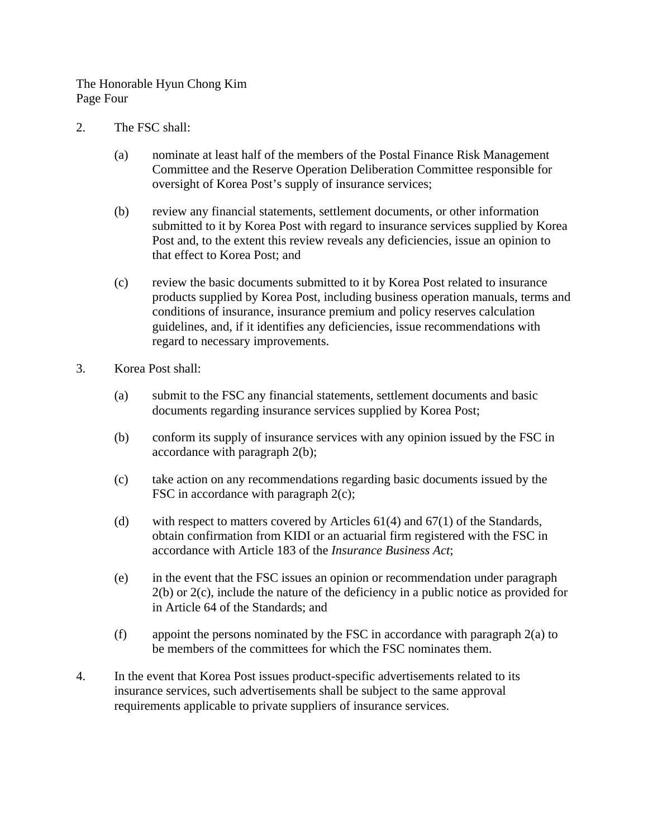The Honorable Hyun Chong Kim Page Four

- 2. The FSC shall:
	- (a) nominate at least half of the members of the Postal Finance Risk Management Committee and the Reserve Operation Deliberation Committee responsible for oversight of Korea Post's supply of insurance services;
	- (b) review any financial statements, settlement documents, or other information submitted to it by Korea Post with regard to insurance services supplied by Korea Post and, to the extent this review reveals any deficiencies, issue an opinion to that effect to Korea Post; and
	- (c) review the basic documents submitted to it by Korea Post related to insurance products supplied by Korea Post, including business operation manuals, terms and conditions of insurance, insurance premium and policy reserves calculation guidelines, and, if it identifies any deficiencies, issue recommendations with regard to necessary improvements.
- 3. Korea Post shall:
	- (a) submit to the FSC any financial statements, settlement documents and basic documents regarding insurance services supplied by Korea Post;
	- (b) conform its supply of insurance services with any opinion issued by the FSC in accordance with paragraph 2(b);
	- (c) take action on any recommendations regarding basic documents issued by the FSC in accordance with paragraph  $2(c)$ ;
	- (d) with respect to matters covered by Articles 61(4) and 67(1) of the Standards, obtain confirmation from KIDI or an actuarial firm registered with the FSC in accordance with Article 183 of the *Insurance Business Act*;
	- (e) in the event that the FSC issues an opinion or recommendation under paragraph 2(b) or 2(c), include the nature of the deficiency in a public notice as provided for in Article 64 of the Standards; and
	- (f) appoint the persons nominated by the FSC in accordance with paragraph 2(a) to be members of the committees for which the FSC nominates them.
- 4. In the event that Korea Post issues product-specific advertisements related to its insurance services, such advertisements shall be subject to the same approval requirements applicable to private suppliers of insurance services.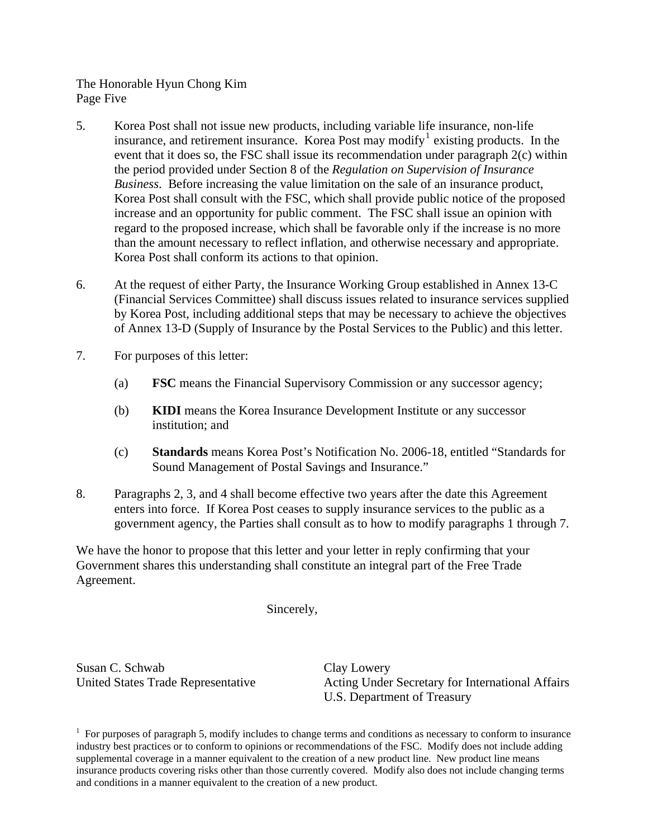The Honorable Hyun Chong Kim Page Five

- 5. Korea Post shall not issue new products, including variable life insurance, non-life insurance, and retirement insurance. Korea Post may modify<sup>[1](#page-4-0)</sup> existing products. In the event that it does so, the FSC shall issue its recommendation under paragraph 2(c) within the period provided under Section 8 of the *Regulation on Supervision of Insurance Business*. Before increasing the value limitation on the sale of an insurance product, Korea Post shall consult with the FSC, which shall provide public notice of the proposed increase and an opportunity for public comment. The FSC shall issue an opinion with regard to the proposed increase, which shall be favorable only if the increase is no more than the amount necessary to reflect inflation, and otherwise necessary and appropriate. Korea Post shall conform its actions to that opinion.
- 6. At the request of either Party, the Insurance Working Group established in Annex 13-C (Financial Services Committee) shall discuss issues related to insurance services supplied by Korea Post, including additional steps that may be necessary to achieve the objectives of Annex 13-D (Supply of Insurance by the Postal Services to the Public) and this letter.
- 7. For purposes of this letter:
	- (a) **FSC** means the Financial Supervisory Commission or any successor agency;
	- (b) **KIDI** means the Korea Insurance Development Institute or any successor institution; and
	- (c) **Standards** means Korea Post's Notification No. 2006-18, entitled "Standards for Sound Management of Postal Savings and Insurance."
- 8. Paragraphs 2, 3, and 4 shall become effective two years after the date this Agreement enters into force. If Korea Post ceases to supply insurance services to the public as a government agency, the Parties shall consult as to how to modify paragraphs 1 through 7.

We have the honor to propose that this letter and your letter in reply confirming that your Government shares this understanding shall constitute an integral part of the Free Trade Agreement.

Sincerely,

Susan C. Schwab Clay Lowery

United States Trade Representative Acting Under Secretary for International Affairs U.S. Department of Treasury

<span id="page-4-0"></span> $1$  For purposes of paragraph 5, modify includes to change terms and conditions as necessary to conform to insurance industry best practices or to conform to opinions or recommendations of the FSC. Modify does not include adding supplemental coverage in a manner equivalent to the creation of a new product line. New product line means insurance products covering risks other than those currently covered. Modify also does not include changing terms and conditions in a manner equivalent to the creation of a new product.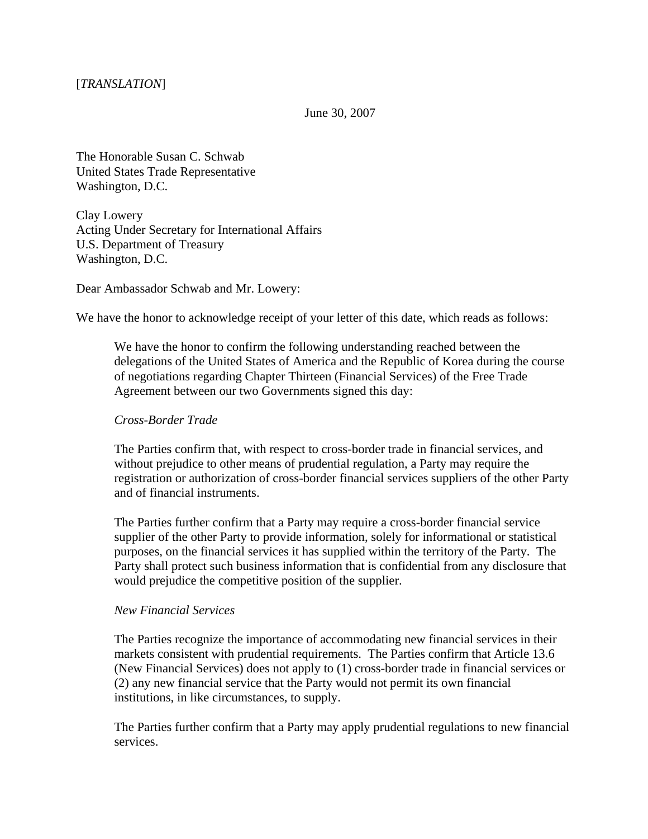June 30, 2007

The Honorable Susan C. Schwab United States Trade Representative Washington, D.C.

Clay Lowery Acting Under Secretary for International Affairs U.S. Department of Treasury Washington, D.C.

Dear Ambassador Schwab and Mr. Lowery:

We have the honor to acknowledge receipt of your letter of this date, which reads as follows:

We have the honor to confirm the following understanding reached between the delegations of the United States of America and the Republic of Korea during the course of negotiations regarding Chapter Thirteen (Financial Services) of the Free Trade Agreement between our two Governments signed this day:

#### *Cross-Border Trade*

The Parties confirm that, with respect to cross-border trade in financial services, and without prejudice to other means of prudential regulation, a Party may require the registration or authorization of cross-border financial services suppliers of the other Party and of financial instruments.

The Parties further confirm that a Party may require a cross-border financial service supplier of the other Party to provide information, solely for informational or statistical purposes, on the financial services it has supplied within the territory of the Party. The Party shall protect such business information that is confidential from any disclosure that would prejudice the competitive position of the supplier.

#### *New Financial Services*

The Parties recognize the importance of accommodating new financial services in their markets consistent with prudential requirements. The Parties confirm that Article 13.6 (New Financial Services) does not apply to (1) cross-border trade in financial services or (2) any new financial service that the Party would not permit its own financial institutions, in like circumstances, to supply.

The Parties further confirm that a Party may apply prudential regulations to new financial services.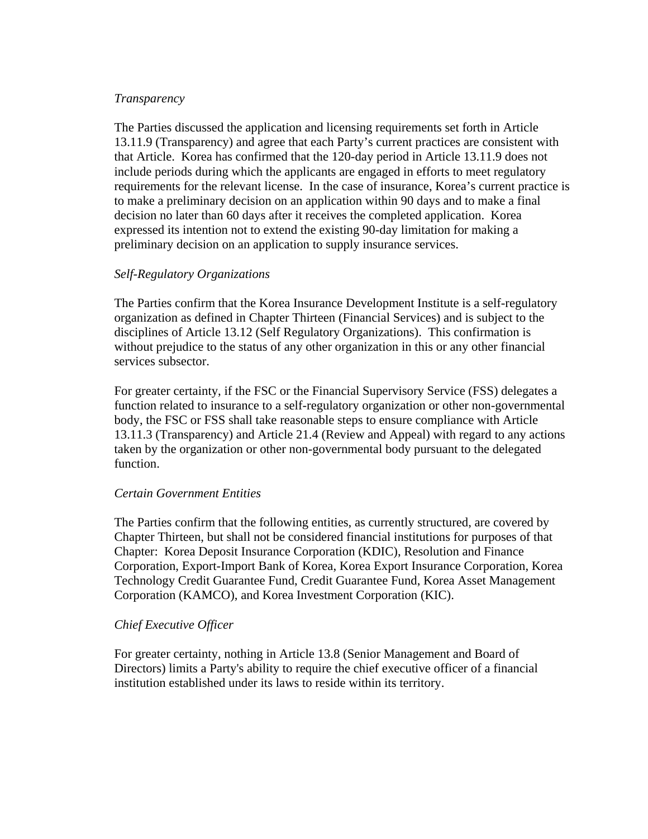## *Transparency*

The Parties discussed the application and licensing requirements set forth in Article 13.11.9 (Transparency) and agree that each Party's current practices are consistent with that Article. Korea has confirmed that the 120-day period in Article 13.11.9 does not include periods during which the applicants are engaged in efforts to meet regulatory requirements for the relevant license. In the case of insurance, Korea's current practice is to make a preliminary decision on an application within 90 days and to make a final decision no later than 60 days after it receives the completed application. Korea expressed its intention not to extend the existing 90-day limitation for making a preliminary decision on an application to supply insurance services.

## *Self-Regulatory Organizations*

The Parties confirm that the Korea Insurance Development Institute is a self-regulatory organization as defined in Chapter Thirteen (Financial Services) and is subject to the disciplines of Article 13.12 (Self Regulatory Organizations). This confirmation is without prejudice to the status of any other organization in this or any other financial services subsector.

For greater certainty, if the FSC or the Financial Supervisory Service (FSS) delegates a function related to insurance to a self-regulatory organization or other non-governmental body, the FSC or FSS shall take reasonable steps to ensure compliance with Article 13.11.3 (Transparency) and Article 21.4 (Review and Appeal) with regard to any actions taken by the organization or other non-governmental body pursuant to the delegated function.

## *Certain Government Entities*

The Parties confirm that the following entities, as currently structured, are covered by Chapter Thirteen, but shall not be considered financial institutions for purposes of that Chapter: Korea Deposit Insurance Corporation (KDIC), Resolution and Finance Corporation, Export-Import Bank of Korea, Korea Export Insurance Corporation, Korea Technology Credit Guarantee Fund, Credit Guarantee Fund, Korea Asset Management Corporation (KAMCO), and Korea Investment Corporation (KIC).

## *Chief Executive Officer*

For greater certainty, nothing in Article 13.8 (Senior Management and Board of Directors) limits a Party's ability to require the chief executive officer of a financial institution established under its laws to reside within its territory.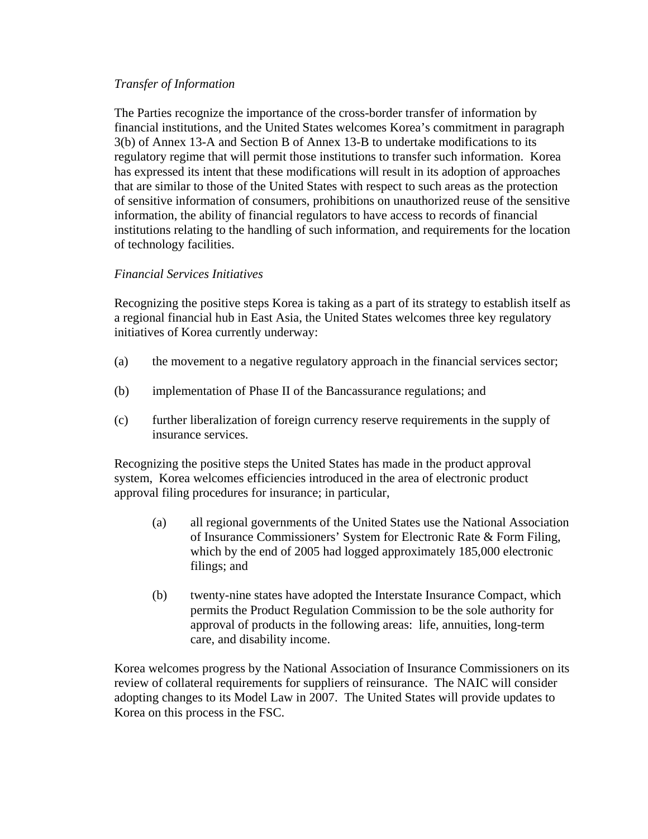## *Transfer of Information*

The Parties recognize the importance of the cross-border transfer of information by financial institutions, and the United States welcomes Korea's commitment in paragraph 3(b) of Annex 13-A and Section B of Annex 13-B to undertake modifications to its regulatory regime that will permit those institutions to transfer such information. Korea has expressed its intent that these modifications will result in its adoption of approaches that are similar to those of the United States with respect to such areas as the protection of sensitive information of consumers, prohibitions on unauthorized reuse of the sensitive information, the ability of financial regulators to have access to records of financial institutions relating to the handling of such information, and requirements for the location of technology facilities.

# *Financial Services Initiatives*

Recognizing the positive steps Korea is taking as a part of its strategy to establish itself as a regional financial hub in East Asia, the United States welcomes three key regulatory initiatives of Korea currently underway:

- (a) the movement to a negative regulatory approach in the financial services sector;
- (b) implementation of Phase II of the Bancassurance regulations; and
- (c) further liberalization of foreign currency reserve requirements in the supply of insurance services.

Recognizing the positive steps the United States has made in the product approval system, Korea welcomes efficiencies introduced in the area of electronic product approval filing procedures for insurance; in particular,

- (a) all regional governments of the United States use the National Association of Insurance Commissioners' System for Electronic Rate & Form Filing, which by the end of 2005 had logged approximately 185,000 electronic filings; and
- (b) twenty-nine states have adopted the Interstate Insurance Compact, which permits the Product Regulation Commission to be the sole authority for approval of products in the following areas: life, annuities, long-term care, and disability income.

Korea welcomes progress by the National Association of Insurance Commissioners on its review of collateral requirements for suppliers of reinsurance. The NAIC will consider adopting changes to its Model Law in 2007. The United States will provide updates to Korea on this process in the FSC.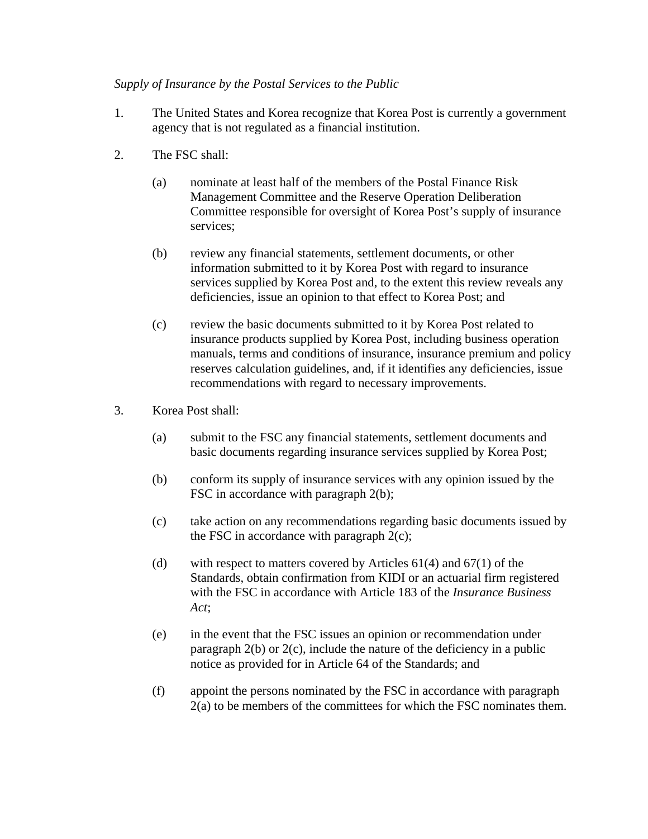# *Supply of Insurance by the Postal Services to the Public*

- 1. The United States and Korea recognize that Korea Post is currently a government agency that is not regulated as a financial institution.
- 2. The FSC shall:
	- (a) nominate at least half of the members of the Postal Finance Risk Management Committee and the Reserve Operation Deliberation Committee responsible for oversight of Korea Post's supply of insurance services;
	- (b) review any financial statements, settlement documents, or other information submitted to it by Korea Post with regard to insurance services supplied by Korea Post and, to the extent this review reveals any deficiencies, issue an opinion to that effect to Korea Post; and
	- (c) review the basic documents submitted to it by Korea Post related to insurance products supplied by Korea Post, including business operation manuals, terms and conditions of insurance, insurance premium and policy reserves calculation guidelines, and, if it identifies any deficiencies, issue recommendations with regard to necessary improvements.
- 3. Korea Post shall:
	- (a) submit to the FSC any financial statements, settlement documents and basic documents regarding insurance services supplied by Korea Post;
	- (b) conform its supply of insurance services with any opinion issued by the FSC in accordance with paragraph 2(b);
	- (c) take action on any recommendations regarding basic documents issued by the FSC in accordance with paragraph  $2(c)$ ;
	- (d) with respect to matters covered by Articles  $61(4)$  and  $67(1)$  of the Standards, obtain confirmation from KIDI or an actuarial firm registered with the FSC in accordance with Article 183 of the *Insurance Business Act*;
	- (e) in the event that the FSC issues an opinion or recommendation under paragraph 2(b) or 2(c), include the nature of the deficiency in a public notice as provided for in Article 64 of the Standards; and
	- (f) appoint the persons nominated by the FSC in accordance with paragraph 2(a) to be members of the committees for which the FSC nominates them.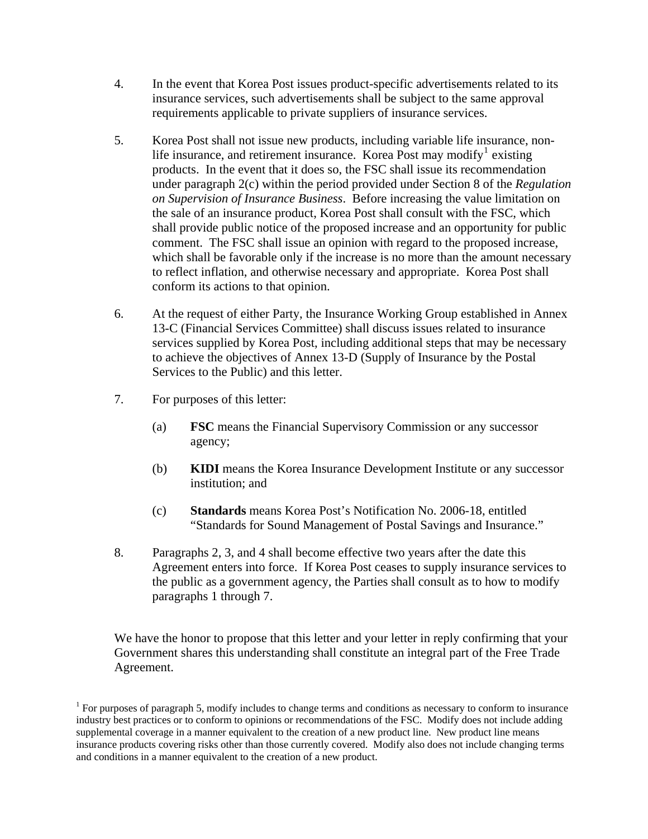- 4. In the event that Korea Post issues product-specific advertisements related to its insurance services, such advertisements shall be subject to the same approval requirements applicable to private suppliers of insurance services.
- 5. Korea Post shall not issue new products, including variable life insurance, non-life insurance, and retirement insurance. Korea Post may modify<sup>[1](#page-9-0)</sup> existing products. In the event that it does so, the FSC shall issue its recommendation under paragraph 2(c) within the period provided under Section 8 of the *Regulation on Supervision of Insurance Business*. Before increasing the value limitation on the sale of an insurance product, Korea Post shall consult with the FSC, which shall provide public notice of the proposed increase and an opportunity for public comment. The FSC shall issue an opinion with regard to the proposed increase, which shall be favorable only if the increase is no more than the amount necessary to reflect inflation, and otherwise necessary and appropriate. Korea Post shall conform its actions to that opinion.
- 6. At the request of either Party, the Insurance Working Group established in Annex 13-C (Financial Services Committee) shall discuss issues related to insurance services supplied by Korea Post, including additional steps that may be necessary to achieve the objectives of Annex 13-D (Supply of Insurance by the Postal Services to the Public) and this letter.
- 7. For purposes of this letter:
	- (a) **FSC** means the Financial Supervisory Commission or any successor agency;
	- (b) **KIDI** means the Korea Insurance Development Institute or any successor institution; and
	- (c) **Standards** means Korea Post's Notification No. 2006-18, entitled "Standards for Sound Management of Postal Savings and Insurance."
- 8. Paragraphs 2, 3, and 4 shall become effective two years after the date this Agreement enters into force. If Korea Post ceases to supply insurance services to the public as a government agency, the Parties shall consult as to how to modify paragraphs 1 through 7.

We have the honor to propose that this letter and your letter in reply confirming that your Government shares this understanding shall constitute an integral part of the Free Trade Agreement.

<span id="page-9-0"></span> $1$  For purposes of paragraph 5, modify includes to change terms and conditions as necessary to conform to insurance industry best practices or to conform to opinions or recommendations of the FSC. Modify does not include adding supplemental coverage in a manner equivalent to the creation of a new product line. New product line means insurance products covering risks other than those currently covered. Modify also does not include changing terms and conditions in a manner equivalent to the creation of a new product.